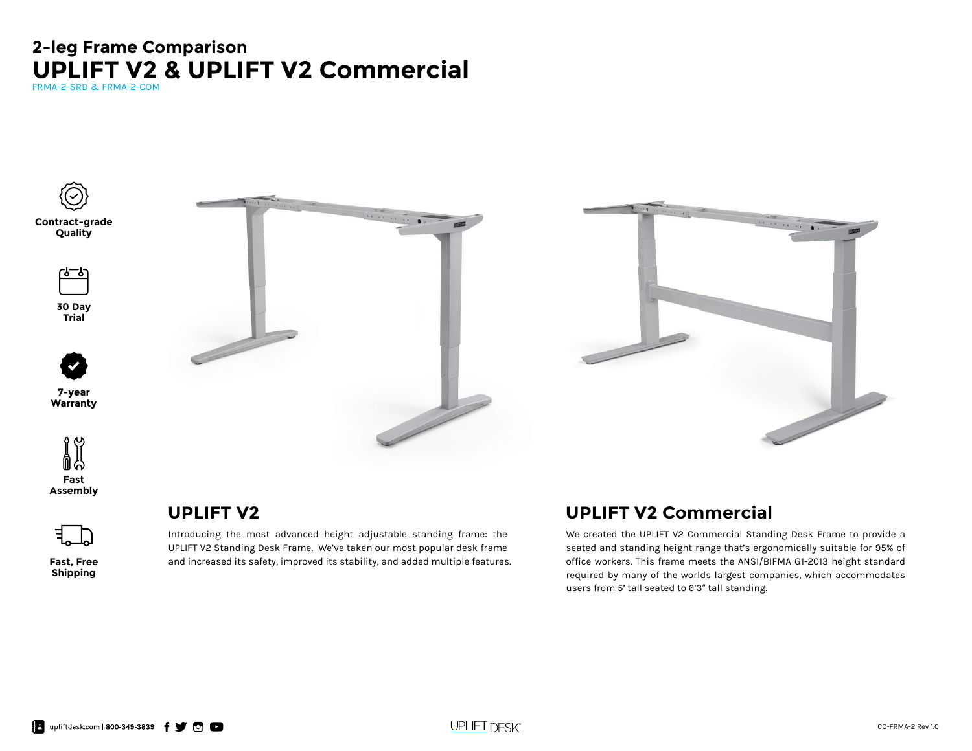# **UPLIFT V2 & UPLIFT V2 Commercial 2-leg Frame Comparison**

FRMA-2-SRD & FRMA-2-COM



**Contract-grade Quality**

رمـــوبا

**30 Day Trial**



**7-year Warranty**







**Fast, Free Shipping**

## **UPLIFT V2**

Introducing the most advanced height adjustable standing frame: the UPLIFT V2 Standing Desk Frame. We've taken our most popular desk frame and increased its safety, improved its stability, and added multiple features.

 $\overline{\phantom{a}}$ 

## **UPLIFT V2 Commercial**

We created the UPLIFT V2 Commercial Standing Desk Frame to provide a seated and standing height range that's ergonomically suitable for 95% of office workers. This frame meets the ANSI/BIFMA G1-2013 height standard required by many of the worlds largest companies, which accommodates users from 5' tall seated to 6'3" tall standing.

 $\begin{array}{c} \bullet \end{array} \begin{array}{c} \bullet \end{array} \begin{array}{c} \bullet \end{array} \begin{array}{c} \bullet \end{array} \begin{array}{c} \bullet \end{array}$ 

**UPLIFT DESK®**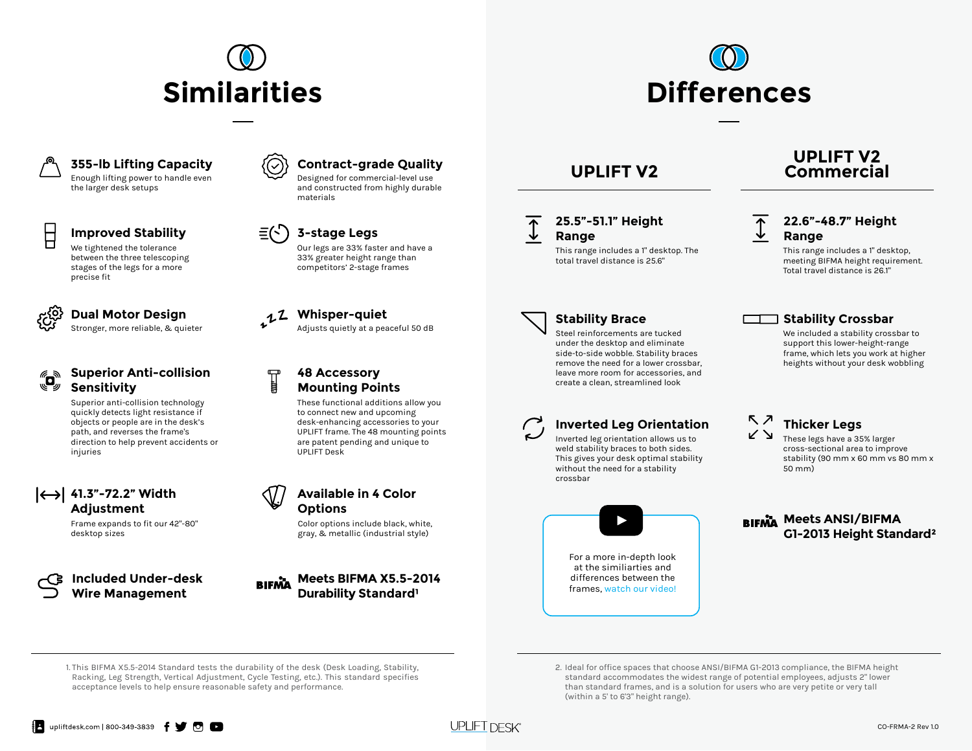



### **355-lb Lifting Capacity**

Enough lifting power to handle even the larger desk setups

### **Improved Stability 3-stage Legs**

We tightened the tolerance between the three telescoping stages of the legs for a more precise fit



## **Superior Anti-collision Sensitivity**

Superior anti-collision technology quickly detects light resistance if objects or people are in the desk's path, and reverses the frame's direction to help prevent accidents or injuries

## **41.3"-72.2" Width Adjustment**

Frame expands to fit our 42"-80" desktop sizes

**Included Under-desk Wire Management**



Designed for commercial-level use and constructed from highly durable materials



Our legs are 33% faster and have a 33% greater height range than competitors' 2-stage frames

**Dual MOTOR Design and ALI Whisper-quiet**<br>Stronger, more reliable, & quieter **Adjusts quietly at a peaceful 50 dB Dual Motor Design Mature 1.2 Whisper-quiet** 

## **48 Accessory Mounting Points**

These functional additions allow you to connect new and upcoming desk-enhancing accessories to your UPLIFT frame. The 48 mounting points are patent pending and unique to UPLIFT Desk



Color options include black, white, gray, & metallic (industrial style)

**Meets BIFMA X5.5-2014 BIFMA Durability Standard** 



## **25.5"-51.1" Height Range**

This range includes a 1" desktop. The total travel distance is 25.6"

## **UPLIFT V2 Commercial**

## **22.6"-48.7" Height Range**

This range includes a 1" desktop, meeting BIFMA height requirement. Total travel distance is 26.1"



Steel reinforcements are tucked under the desktop and eliminate side-to-side wobble. Stability braces remove the need for a lower crossbar, leave more room for accessories, and create a clean, streamlined look

## **Inverted Leg Orientation**

Inverted leg orientation allows us to weld stability braces to both sides. This gives your desk optimal stability without the need for a stability crossbar



### **Stability Brace Stability Crossbar**

We included a stability crossbar to support this lower-height-range frame, which lets you work at higher heights without your desk wobbling

### $\nabla$   $\vec{z}$ **Thicker Legs**

ヾヵ These legs have a 35% larger cross-sectional area to improve stability (90 mm x 60 mm vs 80 mm x 50 mm)

**BIFMA Meets ANSI/BIFMA G1-2013 Height Standard²**

1. This BIFMA X5.5-2014 Standard tests the durability of the desk (Desk Loading, Stability, Racking, Leg Strength, Vertical Adjustment, Cycle Testing, etc.). This standard specifies acceptance levels to help ensure reasonable safety and performance.



<sup>2.</sup> Ideal for office spaces that choose ANSI/BIFMA G1-2013 compliance, the BIFMA height standard accommodates the widest range of potential employees, adjusts 2" lower than standard frames, and is a solution for users who are very petite or very tall (within a 5' to 6'3" height range).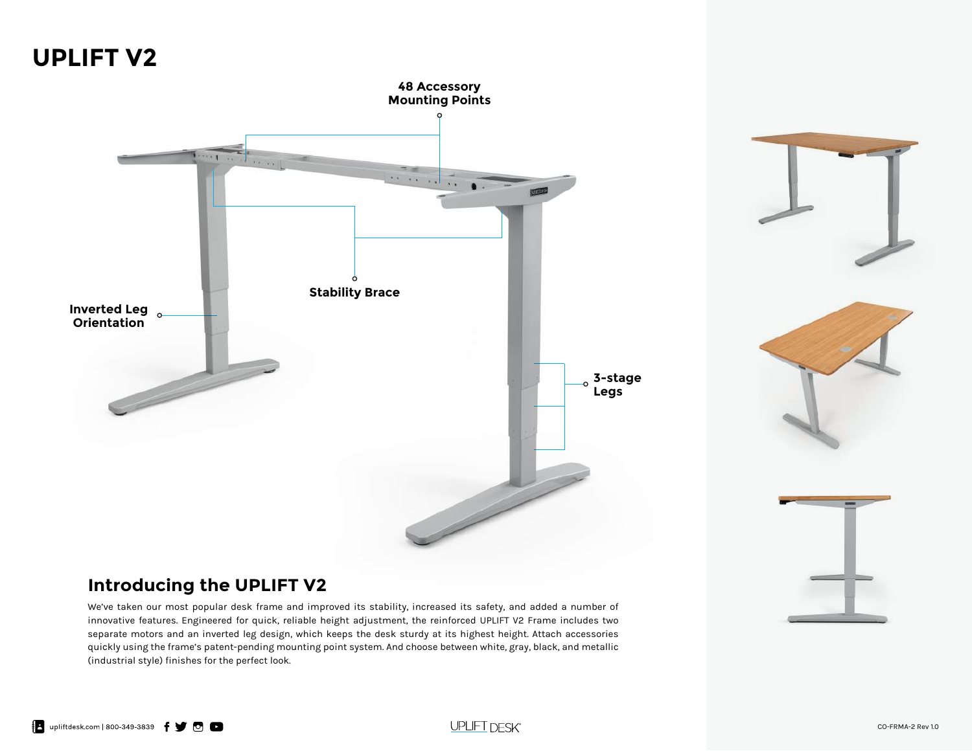# **UPLIFT V2**







## **Introducing the UPLIFT V2**

We've taken our most popular desk frame and improved its stability, increased its safety, and added a number of innovative features. Engineered for quick, reliable height adjustment, the reinforced UPLIFT V2 Frame includes two separate motors and an inverted leg design, which keeps the desk sturdy at its highest height. Attach accessories quickly using the frame's patent-pending mounting point system. And choose between white, gray, black, and metallic (industrial style) finishes for the perfect look.